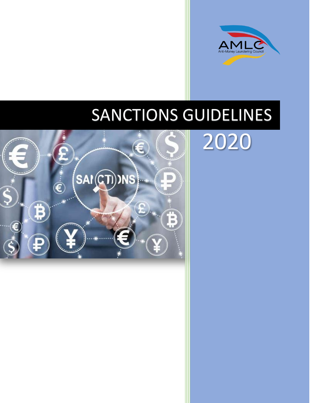

2020

### SANCTIONS GUIDELINES

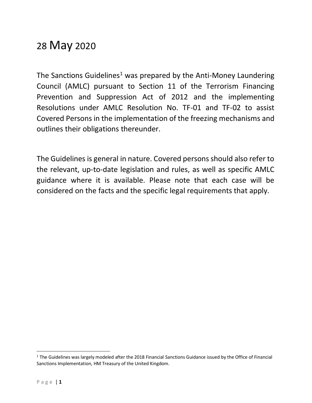### 28 May 2020

The Sanctions Guidelines<sup>1</sup> was prepared by the Anti-Money Laundering Council (AMLC) pursuant to Section 11 of the Terrorism Financing Prevention and Suppression Act of 2012 and the implementing Resolutions under AMLC Resolution No. TF-01 and TF-02 to assist Covered Persons in the implementation of the freezing mechanisms and outlines their obligations thereunder.

The Guidelines is general in nature. Covered persons should also refer to the relevant, up-to-date legislation and rules, as well as specific AMLC guidance where it is available. Please note that each case will be considered on the facts and the specific legal requirements that apply.

<sup>&</sup>lt;sup>1</sup> The Guidelines was largely modeled after the 2018 Financial Sanctions Guidance issued by the Office of Financial Sanctions Implementation, HM Treasury of the United Kingdom.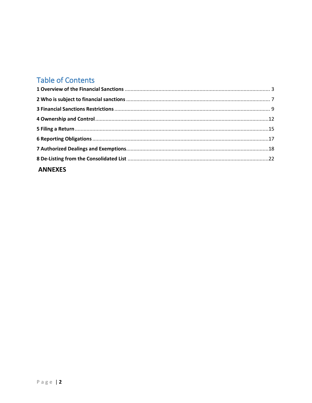### **Table of Contents**

| <b>ANNEXES</b> |  |
|----------------|--|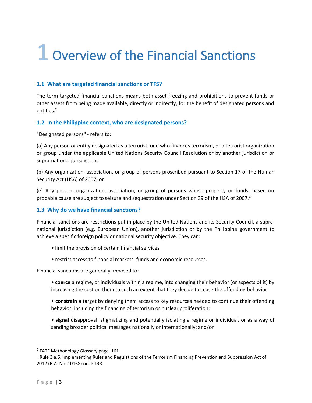### <span id="page-3-0"></span>1 Overview of the Financial Sanctions

### **1.1 What are targeted financial sanctions or TFS?**

The term targeted financial sanctions means both asset freezing and prohibitions to prevent funds or other assets from being made available, directly or indirectly, for the benefit of designated persons and entities.<sup>2</sup>

### **1.2 In the Philippine context, who are designated persons?**

"Designated persons" - refers to:

(a) Any person or entity designated as a terrorist, one who finances terrorism, or a terrorist organization or group under the applicable United Nations Security Council Resolution or by another jurisdiction or supra-national jurisdiction;

(b) Any organization, association, or group of persons proscribed pursuant to Section 17 of the Human Security Act (HSA) of 2007; or

(e) Any person, organization, association, or group of persons whose property or funds, based on probable cause are subject to seizure and sequestration under Section 39 of the HSA of 2007.<sup>3</sup>

### **1.3 Why do we have financial sanctions?**

Financial sanctions are restrictions put in place by the United Nations and its Security Council, a supranational jurisdiction (e.g. European Union), another jurisdiction or by the Philippine government to achieve a specific foreign policy or national security objective. They can:

- limit the provision of certain financial services
- restrict access to financial markets, funds and economic resources.

Financial sanctions are generally imposed to:

- **coerce** a regime, or individuals within a regime, into changing their behavior (or aspects of it) by increasing the cost on them to such an extent that they decide to cease the offending behavior
- **constrain** a target by denying them access to key resources needed to continue their offending behavior, including the financing of terrorism or nuclear proliferation;
- **signal** disapproval, stigmatizing and potentially isolating a regime or individual, or as a way of sending broader political messages nationally or internationally; and/or

<sup>&</sup>lt;sup>2</sup> FATF Methodology Glossary page. 161.

<sup>&</sup>lt;sup>3</sup> Rule 3.a.5, Implementing Rules and Regulations of the Terrorism Financing Prevention and Suppression Act of 2012 (R.A. No. 10168) or TF-IRR.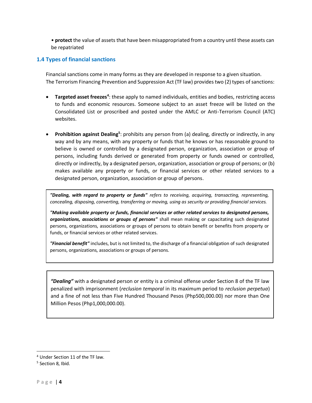• **protect** the value of assets that have been misappropriated from a country until these assets can be repatriated

### **1.4 Types of financial sanctions**

Financial sanctions come in many forms as they are developed in response to a given situation. The Terrorism Financing Prevention and Suppression Act (TF law) provides two (2) types of sanctions:

- **Targeted asset freezes<sup>4</sup>:** these apply to named individuals, entities and bodies, restricting access to funds and economic resources. Someone subject to an asset freeze will be listed on the Consolidated List or proscribed and posted under the AMLC or Anti-Terrorism Council (ATC) websites.
- Prohibition against Dealing<sup>5</sup>: prohibits any person from (a) dealing, directly or indirectly, in any way and by any means, with any property or funds that he knows or has reasonable ground to believe is owned or controlled by a designated person, organization, association or group of persons, including funds derived or generated from property or funds owned or controlled, directly or indirectly, by a designated person, organization, association or group of persons; or (b) makes available any property or funds, or financial services or other related services to a designated person, organization, association or group of persons.

*"Dealing, with regard to property or funds" refers to receiving, acquiring, transacting, representing, concealing, disposing, converting, transferring or moving, using as security or providing financial services.*

*"Making available property or funds, financial services or other related services to designated persons, organizations, associations or groups of persons"* shall mean making or capacitating such designated persons, organizations, associations or groups of persons to obtain benefit or benefits from property or funds, or financial services or other related services.

*"Financial benefit"* includes, but is not limited to, the discharge of a financial obligation of such designated persons, organizations, associations or groups of persons.

*"Dealing"* with a designated person or entity is a criminal offense under Section 8 of the TF law penalized with imprisonment (*reclusion temporal* in its maximum period to *reclusion perpetua*) and a fine of not less than Five Hundred Thousand Pesos (Php500,000.00) nor more than One Million Pesos (Php1,000,000.00).

<sup>4</sup> Under Section 11 of the TF law.

<sup>&</sup>lt;sup>5</sup> Section 8, Ibid.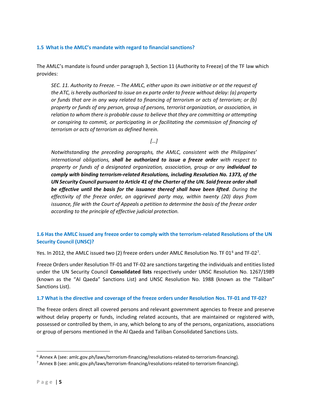### **1.5 What is the AMLC's mandate with regard to financial sanctions?**

The AMLC's mandate is found under paragraph 3, Section 11 (Authority to Freeze) of the TF law which provides:

*SEC. 11. Authority to Freeze. – The AMLC, either upon its own initiative or at the request of the ATC, is hereby authorized to issue an ex parte order to freeze without delay: (a) property or funds that are in any way related to financing of terrorism or acts of terrorism; or (b) property or funds of any person, group of persons, terrorist organization, or association, in relation to whom there is probable cause to believe that they are committing or attempting or conspiring to commit, or participating in or facilitating the commission of financing of terrorism or acts of terrorism as defined herein.*

*[…]*

*Notwithstanding the preceding paragraphs, the AMLC, consistent with the Philippines' international obligations, shall be authorized to issue a freeze order with respect to property or funds of a designated organization, association, group or any individual to comply with binding terrorism-related Resolutions, including Resolution No. 1373, of the UN Security Council pursuant to Article 41 of the Charter of the UN. Said freeze order shall be effective until the basis for the issuance thereof shall have been lifted. During the effectivity of the freeze order, an aggrieved party may, within twenty (20) days from issuance, file with the Court of Appeals a petition to determine the basis of the freeze order according to the principle of effective judicial protection.*

### **1.6 Has the AMLC issued any freeze order to comply with the terrorism-related Resolutions of the UN Security Council (UNSC)?**

Yes. In 2012, the AMLC issued two (2) freeze orders under AMLC Resolution No. TF 01 $^6$  and TF-02 $^7$ .

Freeze Orders under Resolution TF-01 and TF-02 are sanctions targeting the individuals and entities listed under the UN Security Council **Consolidated lists** respectively under UNSC Resolution No. 1267/1989 (known as the "Al Qaeda" Sanctions List) and UNSC Resolution No. 1988 (known as the "Taliban" Sanctions List).

### **1.7 What is the directive and coverage of the freeze orders under Resolution Nos. TF-01 and TF-02?**

The freeze orders direct all covered persons and relevant government agencies to freeze and preserve without delay property or funds, including related accounts, that are maintained or registered with, possessed or controlled by them, in any, which belong to any of the persons, organizations, associations or group of persons mentioned in the Al Qaeda and Taliban Consolidated Sanctions Lists.

 $6$  Annex A (see: amlc.gov.ph/laws/terrorism-financing/resolutions-related-to-terrorism-financing).

 $^7$  Annex B (see: amlc.gov.ph/laws/terrorism-financing/resolutions-related-to-terrorism-financing).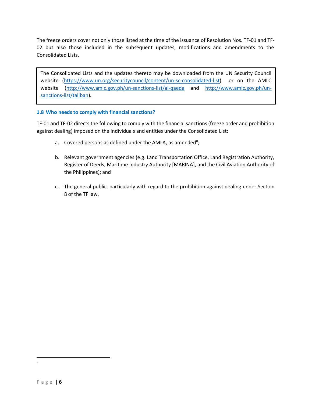The freeze orders cover not only those listed at the time of the issuance of Resolution Nos. TF-01 and TF-02 but also those included in the subsequent updates, modifications and amendments to the Consolidated Lists.

The Consolidated Lists and the updates thereto may be downloaded from the UN Security Council website [\(https://www.un.org/securitycouncil/content/un-sc-consolidated-list\)](https://www.un.org/securitycouncil/content/un-sc-consolidated-list) or on the AMLC website [\(http://www.amlc.gov.ph/un-sanctions-list/al-qaeda](http://www.amlc.gov.ph/un-sanctions-list/al-qaeda) and [http://www.amlc.gov.ph/un](http://www.amlc.gov.ph/un-sanctions-list/taliban)[sanctions-list/taliban\)](http://www.amlc.gov.ph/un-sanctions-list/taliban).

### **1.8 Who needs to comply with financial sanctions?**

TF-01 and TF-02 directs the following to comply with the financial sanctions (freeze order and prohibition against dealing) imposed on the individuals and entities under the Consolidated List:

- a. Covered persons as defined under the AMLA, as amended<sup>8</sup>;
- b. Relevant government agencies (e.g. Land Transportation Office, Land Registration Authority, Register of Deeds, Maritime Industry Authority [MARINA], and the Civil Aviation Authority of the Philippines); and
- c. The general public, particularly with regard to the prohibition against dealing under Section 8 of the TF law.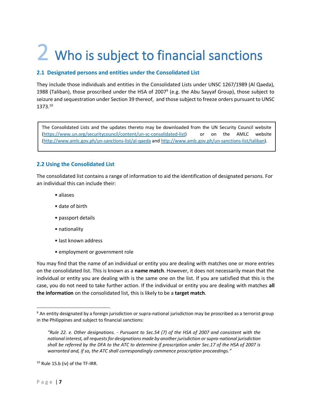### <span id="page-7-0"></span>2 Who is subject to financial sanctions

### **2.1 Designated persons and entities under the Consolidated List**

They include those individuals and entities in the Consolidated Lists under UNSC 1267/1989 (Al Qaeda), 1988 (Taliban), those proscribed under the HSA of 2007<sup>9</sup> (e.g. the Abu Sayyaf Group), those subject to seizure and sequestration under Section 39 thereof, and those subject to freeze orders pursuant to UNSC 1373.<sup>10</sup>

The Consolidated Lists and the updates thereto may be downloaded from the UN Security Council website [\(https://www.un.org/securitycouncil/content/un-sc-consolidated-list\)](https://www.un.org/securitycouncil/content/un-sc-consolidated-list) or on the AMLC website [\(http://www.amlc.gov.ph/un-sanctions-list/al-qaeda](http://www.amlc.gov.ph/un-sanctions-list/al-qaeda) and [http://www.amlc.gov.ph/un-sanctions-list/taliban\)](http://www.amlc.gov.ph/un-sanctions-list/taliban).

### **2.2 Using the Consolidated List**

The consolidated list contains a range of information to aid the identification of designated persons. For an individual this can include their:

- aliases
- date of birth
- passport details
- nationality
- last known address
- employment or government role

You may find that the name of an individual or entity you are dealing with matches one or more entries on the consolidated list. This is known as a **name match**. However, it does not necessarily mean that the individual or entity you are dealing with is the same one on the list. If you are satisfied that this is the case, you do not need to take further action. If the individual or entity you are dealing with matches **all the information** on the consolidated list, this is likely to be a **target match**.

<sup>&</sup>lt;sup>9</sup> An entity designated by a foreign jurisdiction or supra-national jurisdiction may be proscribed as a terrorist group in the Philippines and subject to financial sanctions:

*<sup>&</sup>quot;Rule 22. e. Other designations. - Pursuant to Sec.54 (7) of the HSA of 2007 and consistent with the national interest, all requests for designations made by another jurisdiction or supra-national jurisdiction shall be referred by the DFA to the ATC to determine if proscription under Sec.17 of the HSA of 2007 is warranted and, if so, the ATC shall correspondingly commence proscription proceedings."*

<sup>10</sup> Rule 15.b (iv) of the TF-IRR.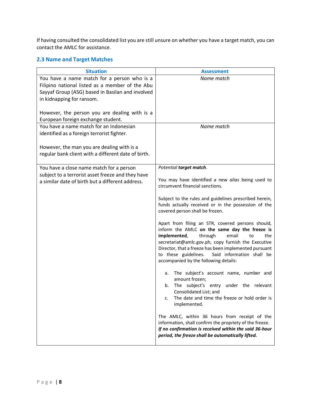If having consulted the consolidated list you are still unsure on whether you have a target match, you can contact the AMLC for assistance.

### **2.3 Name and Target Matches**

| <b>Situation</b>                                                                                                                                                                | <b>Assessment</b>                                                                                                                                                                                                                                                                                                                                                 |
|---------------------------------------------------------------------------------------------------------------------------------------------------------------------------------|-------------------------------------------------------------------------------------------------------------------------------------------------------------------------------------------------------------------------------------------------------------------------------------------------------------------------------------------------------------------|
| You have a name match for a person who is a<br>Filipino national listed as a member of the Abu<br>Sayyaf Group (ASG) based in Basilan and involved<br>in kidnapping for ransom. | Name match                                                                                                                                                                                                                                                                                                                                                        |
| However, the person you are dealing with is a<br>European foreign exchange student.                                                                                             |                                                                                                                                                                                                                                                                                                                                                                   |
| You have a name match for an Indonesian<br>identified as a foreign terrorist fighter.                                                                                           | Name match                                                                                                                                                                                                                                                                                                                                                        |
| However, the man you are dealing with is a<br>regular bank client with a different date of birth.                                                                               |                                                                                                                                                                                                                                                                                                                                                                   |
| You have a close name match for a person                                                                                                                                        | Potential target match.                                                                                                                                                                                                                                                                                                                                           |
| subject to a terrorist asset freeze and they have<br>a similar date of birth but a different address.                                                                           | You may have identified a new alias being used to<br>circumvent financial sanctions.                                                                                                                                                                                                                                                                              |
|                                                                                                                                                                                 | Subject to the rules and guidelines prescribed herein,<br>funds actually received or in the possession of the<br>covered person shall be frozen.                                                                                                                                                                                                                  |
|                                                                                                                                                                                 | Apart from filing an STR, covered persons should,<br>inform the AMLC on the same day the freeze is<br>through<br>implemented,<br>email<br>the<br>to<br>secretariat@amlc.gov.ph, copy furnish the Executive<br>Director, that a freeze has been implemented pursuant<br>to these guidelines.<br>Said information shall be<br>accompanied by the following details: |
|                                                                                                                                                                                 | a. The subject's account name, number and<br>amount frozen;<br>The subject's entry under the relevant<br>b.<br>Consolidated List; and<br>The date and time the freeze or hold order is<br>c.<br>implemented.                                                                                                                                                      |
|                                                                                                                                                                                 | The AMLC, within 36 hours from receipt of the<br>information, shall confirm the propriety of the freeze.<br>If no confirmation is received within the said 36-hour<br>period, the freeze shall be automatically lifted.                                                                                                                                           |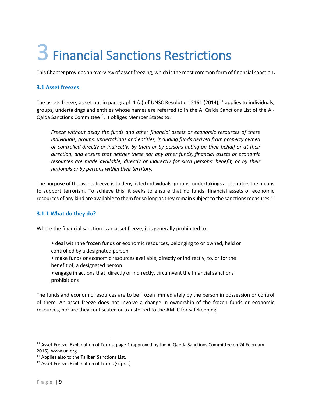## <span id="page-9-0"></span>3 Financial Sanctions Restrictions

This Chapter provides an overview of asset freezing, which is the most common form of financial sanction**.**

### **3.1 Asset freezes**

The assets freeze, as set out in paragraph 1 (a) of UNSC Resolution 2161 (2014),<sup>11</sup> applies to individuals, groups, undertakings and entities whose names are referred to in the Al Qaida Sanctions List of the Al-Qaida Sanctions Committee<sup>12</sup>. It obliges Member States to:

*Freeze without delay the funds and other financial assets or economic resources of these individuals, groups, undertakings and entities, including funds derived from property owned or controlled directly or indirectly, by them or by persons acting on their behalf or at their direction, and ensure that neither these nor any other funds, financial assets or economic resources are made available, directly or indirectly for such persons' benefit, or by their nationals or by persons within their territory.*

The purpose of the assets freeze is to deny listed individuals, groups, undertakings and entities the means to support terrorism. To achieve this, it seeks to ensure that no funds, financial assets or economic resources of any kind are available to them for so long as they remain subject to the sanctions measures.<sup>13</sup>

### **3.1.1 What do they do?**

Where the financial sanction is an asset freeze, it is generally prohibited to:

- deal with the frozen funds or economic resources, belonging to or owned, held or controlled by a designated person
- make funds or economic resources available, directly or indirectly, to, or for the benefit of, a designated person
- engage in actions that, directly or indirectly, circumvent the financial sanctions prohibitions

The funds and economic resources are to be frozen immediately by the person in possession or control of them. An asset freeze does not involve a change in ownership of the frozen funds or economic resources, nor are they confiscated or transferred to the AMLC for safekeeping.

 $11$  Asset Freeze. Explanation of Terms, page 1 (approved by the Al Qaeda Sanctions Committee on 24 February 2015). www.un.org

<sup>&</sup>lt;sup>12</sup> Applies also to the Taliban Sanctions List.

<sup>&</sup>lt;sup>13</sup> Asset Freeze. Explanation of Terms (supra.)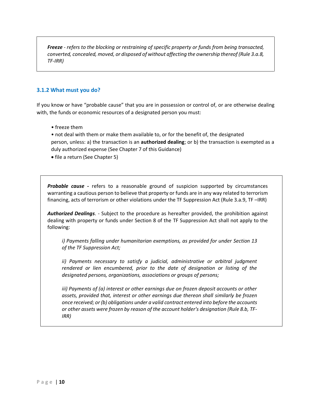*Freeze - refers to the blocking or restraining of specific property or funds from being transacted, converted, concealed, moved, or disposed of without affecting the ownership thereof (Rule 3.a.8, TF-IRR)*

### **3.1.2 What must you do?**

If you know or have "probable cause" that you are in possession or control of, or are otherwise dealing with, the funds or economic resources of a designated person you must:

- freeze them
- not deal with them or make them available to, or for the benefit of, the designated person, unless: a) the transaction is an **authorized dealing**; or b) the transaction is exempted as a duly authorized expense (See Chapter 7 of this Guidance)
- file a return (See Chapter 5)

*Probable cause -* refers to a reasonable ground of suspicion supported by circumstances warranting a cautious person to believe that property or funds are in any way related to terrorism financing, acts of terrorism or other violations under the TF Suppression Act (Rule 3.a.9, TF –IRR)

*Authorized Dealings*. - Subject to the procedure as hereafter provided, the prohibition against dealing with property or funds under Section 8 of the TF Suppression Act shall not apply to the following:

*i) Payments falling under humanitarian exemptions, as provided for under Section 13 of the TF Suppression Act;*

*ii) Payments necessary to satisfy a judicial, administrative or arbitral judgment rendered or lien encumbered, prior to the date of designation or listing of the designated persons, organizations, associations or groups of persons;*

*iii) Payments of (a) interest or other earnings due on frozen deposit accounts or other assets, provided that, interest or other earnings due thereon shall similarly be frozen once received; or (b) obligations under a valid contract entered into before the accounts or other assets were frozen by reason of the account holder's designation (Rule 8.b, TF-IRR)*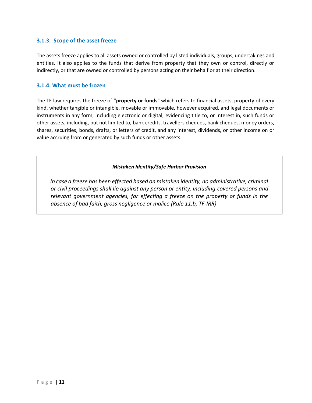### **3.1.3. Scope of the asset freeze**

The assets freeze applies to all assets owned or controlled by listed individuals, groups, undertakings and entities. It also applies to the funds that derive from property that they own or control, directly or indirectly, or that are owned or controlled by persons acting on their behalf or at their direction.

### **3.1.4. What must be frozen**

The TF law requires the freeze of **"property or funds**" which refers to financial assets, property of every kind, whether tangible or intangible, movable or immovable, however acquired, and legal documents or instruments in any form, including electronic or digital, evidencing title to, or interest in, such funds or other assets, including, but not limited to, bank credits, travellers cheques, bank cheques, money orders, shares, securities, bonds, drafts, or letters of credit, and any interest, dividends, or other income on or value accruing from or generated by such funds or other assets.

### *Mistaken Identity/Safe Harbor Provision*

*In case a freeze has been effected based on mistaken identity, no administrative, criminal or civil proceedings shall lie against any person or entity, including covered persons and relevant government agencies, for effecting a freeze on the property or funds in the absence of bad faith, gross negligence or malice (Rule 11.b, TF-IRR)*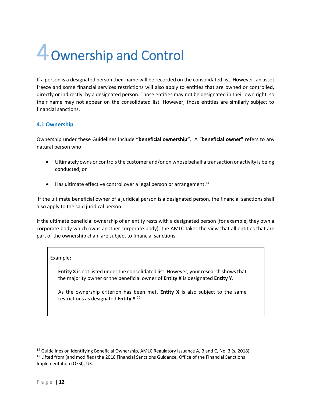## <span id="page-12-0"></span>4Ownership and Control

If a person is a designated person their name will be recorded on the consolidated list. However, an asset freeze and some financial services restrictions will also apply to entities that are owned or controlled, directly or indirectly, by a designated person. Those entities may not be designated in their own right, so their name may not appear on the consolidated list. However, those entities are similarly subject to financial sanctions.

### **4.1 Ownership**

Ownership under these Guidelines include **"beneficial ownership"**. A "**beneficial owner"** refers to any natural person who:

- Ultimately owns or controls the customer and/or on whose behalf a transaction or activity is being conducted; or
- $\bullet$  Has ultimate effective control over a legal person or arrangement.<sup>14</sup>

If the ultimate beneficial owner of a juridical person is a designated person, the financial sanctions shall also apply to the said juridical person.

If the ultimate beneficial ownership of an entity rests with a designated person (for example, they own a corporate body which owns another corporate body), the AMLC takes the view that all entities that are part of the ownership chain are subject to financial sanctions.

### Example:

**Entity X** is not listed under the consolidated list. However, your research shows that the majority owner or the beneficial owner of **Entity X** is designated **Entity Y**.

As the ownership criterion has been met, **Entity X** is also subject to the same restrictions as designated **Entity Y**. 15

<sup>&</sup>lt;sup>14</sup> Guidelines on Identifying Beneficial Ownership, AMLC Regulatory Issuance A, B and C, No. 3 (s. 2018). <sup>15</sup> Lifted from (and modified) the 2018 Financial Sanctions Guidance, Office of the Financial Sanctions Implementation (OFSI), UK.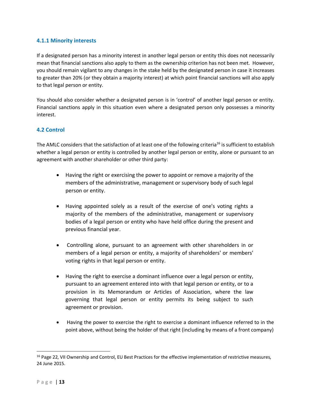### **4.1.1 Minority interests**

If a designated person has a minority interest in another legal person or entity this does not necessarily mean that financial sanctions also apply to them as the ownership criterion has not been met. However, you should remain vigilant to any changes in the stake held by the designated person in case it increases to greater than 20% (or they obtain a majority interest) at which point financial sanctions will also apply to that legal person or entity.

You should also consider whether a designated person is in 'control' of another legal person or entity. Financial sanctions apply in this situation even where a designated person only possesses a minority interest.

### **4.2 Control**

The AMLC considers that the satisfaction of at least one of the following criteria<sup>16</sup> is sufficient to establish whether a legal person or entity is controlled by another legal person or entity, alone or pursuant to an agreement with another shareholder or other third party:

- Having the right or exercising the power to appoint or remove a majority of the members of the administrative, management or supervisory body of such legal person or entity.
- Having appointed solely as a result of the exercise of one's voting rights a majority of the members of the administrative, management or supervisory bodies of a legal person or entity who have held office during the present and previous financial year.
- Controlling alone, pursuant to an agreement with other shareholders in or members of a legal person or entity, a majority of shareholders' or members' voting rights in that legal person or entity.
- Having the right to exercise a dominant influence over a legal person or entity, pursuant to an agreement entered into with that legal person or entity, or to a provision in its Memorandum or Articles of Association, where the law governing that legal person or entity permits its being subject to such agreement or provision.
- Having the power to exercise the right to exercise a dominant influence referred to in the point above, without being the holder of that right (including by means of a front company)

<sup>&</sup>lt;sup>16</sup> Page 22, VII Ownership and Control, EU Best Practices for the effective implementation of restrictive measures, 24 June 2015.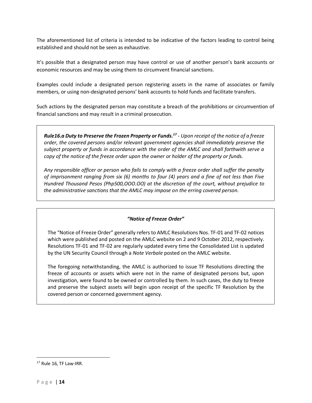The aforementioned list of criteria is intended to be indicative of the factors leading to control being established and should not be seen as exhaustive.

It's possible that a designated person may have control or use of another person's bank accounts or economic resources and may be using them to circumvent financial sanctions.

Examples could include a designated person registering assets in the name of associates or family members, or using non-designated persons' bank accounts to hold funds and facilitate transfers.

Such actions by the designated person may constitute a breach of the prohibitions or circumvention of financial sanctions and may result in a criminal prosecution.

*Rule16.a Duty to Preserve the Frozen Property or Funds.<sup>17</sup> - Upon receipt of the notice of a freeze order, the covered persons and/or relevant government agencies shall immediately preserve the subject property or funds in accordance with the order of the AMLC and shall forthwith serve a copy of the notice of the freeze order upon the owner or holder of the property or funds.* 

*Any responsible officer or person who fails to comply with a freeze order shall suffer the penalty of imprisonment ranging from six (6) months to four (4) years and a fine of not less than Five Hundred Thousand Pesos (Php500,OOO.OO) at the discretion of the court, without prejudice to the administrative sanctions that the AMLC may impose on the erring covered person.*

### *"Notice of Freeze Order"*

The "Notice of Freeze Order" generally refers to AMLC Resolutions Nos. TF-01 and TF-02 notices which were published and posted on the AMLC website on 2 and 9 October 2012, respectively. Resolutions TF-01 and TF-02 are regularly updated every time the Consolidated List is updated by the UN Security Council through a *Note Verbale* posted on the AMLC website.

The foregoing notwithstanding, the AMLC is authorized to issue TF Resolutions directing the freeze of accounts or assets which were not in the name of designated persons but, upon investigation, were found to be owned or controlled by them. In such cases, the duty to freeze and preserve the subject assets will begin upon receipt of the specific TF Resolution by the covered person or concerned government agency.

<sup>&</sup>lt;sup>17</sup> Rule 16, TF Law-IRR.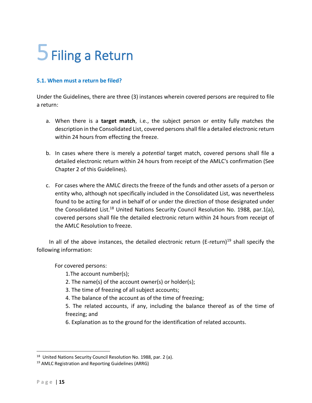### <span id="page-15-0"></span>5 Filing a Return

### **5.1. When must a return be filed?**

Under the Guidelines, there are three (3) instances wherein covered persons are required to file a return:

- a. When there is a **target match**, i.e., the subject person or entity fully matches the description in the Consolidated List, covered persons shall file a detailed electronic return within 24 hours from effecting the freeze.
- b. In cases where there is merely a *potential* target match, covered persons shall file a detailed electronic return within 24 hours from receipt of the AMLC's confirmation (See Chapter 2 of this Guidelines).
- c. For cases where the AMLC directs the freeze of the funds and other assets of a person or entity who, although not specifically included in the Consolidated List, was nevertheless found to be acting for and in behalf of or under the direction of those designated under the Consolidated List.<sup>18</sup> United Nations Security Council Resolution No. 1988, par.1(a), covered persons shall file the detailed electronic return within 24 hours from receipt of the AMLC Resolution to freeze.

In all of the above instances, the detailed electronic return (E-return)<sup>19</sup> shall specify the following information:

For covered persons:

- 1.The account number(s);
- 2. The name(s) of the account owner(s) or holder(s);
- 3. The time of freezing of all subject accounts;
- 4. The balance of the account as of the time of freezing;

5. The related accounts, if any, including the balance thereof as of the time of freezing; and

6. Explanation as to the ground for the identification of related accounts.

<sup>&</sup>lt;sup>18</sup> United Nations Security Council Resolution No. 1988, par. 2 (a).

<sup>19</sup> AMLC Registration and Reporting Guidelines (ARRG)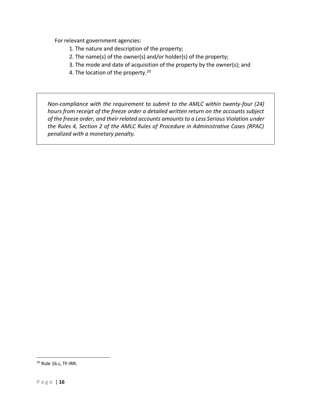For relevant government agencies:

- 1. The nature and description of the property;
- 2. The name(s) of the owner(s) and/or holder(s) of the property;
- 3. The mode and date of acquisition of the property by the owner(s); and
- 4. The location of the property.<sup>20</sup>

*Non-compliance with the requirement to submit to the AMLC within twenty-four (24) hours from receipt of the freeze order a detailed written return on the accounts subject of the freeze order, and their related accounts amounts to a Less Serious Violation under the Rules 4, Section 2 of the AMLC Rules of Procedure in Administrative Cases (RPAC) penalized with a monetary penalty.* 

<sup>20</sup> Rule 16.c, TF-IRR.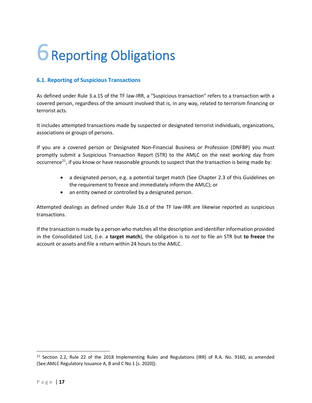### <span id="page-17-0"></span>6 Reporting Obligations

### **6.1. Reporting of Suspicious Transactions**

As defined under Rule 3.a.15 of the TF law-IRR, a "Suspicious transaction" refers to a transaction with a covered person, regardless of the amount involved that is, in any way, related to terrorism financing or terrorist acts.

It includes attempted transactions made by suspected or designated terrorist individuals, organizations, associations or groups of persons.

If you are a covered person or Designated Non-Financial Business or Profession (DNFBP) you must promptly submit a Suspicious Transaction Report (STR) to the AMLC on the next working day from occurrence<sup>21</sup>, if you know or have reasonable grounds to suspect that the transaction is being made by:

- a designated person, e.g. a potential target match (See Chapter 2.3 of this Guidelines on the requirement to freeze and immediately inform the AMLC); or
- an entity owned or controlled by a designated person.

Attempted dealings as defined under Rule 16.d of the TF law-IRR are likewise reported as suspicious transactions.

If the transaction is made by a person who matches all the description and identifier information provided in the Consolidated List, (i.e. a **target match**), the obligation is to *not* to file an STR but **to freeze** the account or assets and file a return within 24 hours to the AMLC.

 $21$  Section 2.2, Rule 22 of the 2018 Implementing Rules and Regulations (IRR) of R.A. No. 9160, as amended (See:AMLC Regulatory Issuance A, B and C No.1 [s. 2020]).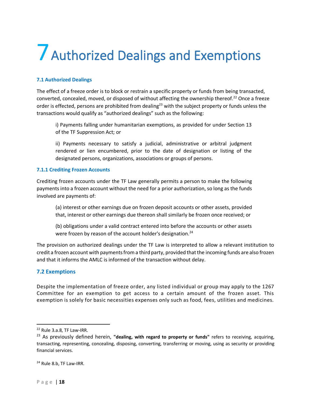### <span id="page-18-0"></span>7 Authorized Dealings and Exemptions

### **7.1 Authorized Dealings**

The effect of a freeze order is to block or restrain a specific property or funds from being transacted, converted, concealed, moved, or disposed of without affecting the ownership thereof.<sup>22</sup> Once a freeze order is effected, persons are prohibited from dealing<sup>23</sup> with the subject property or funds unless the transactions would qualify as "authorized dealings" such as the following:

i) Payments falling under humanitarian exemptions, as provided for under Section 13 of the TF Suppression Act; or

ii) Payments necessary to satisfy a judicial, administrative or arbitral judgment rendered or lien encumbered, prior to the date of designation or listing of the designated persons, organizations, associations or groups of persons.

### **7.1.1 Crediting Frozen Accounts**

Crediting frozen accounts under the TF Law generally permits a person to make the following payments into a frozen account without the need for a prior authorization, so long as the funds involved are payments of:

(a) interest or other earnings due on frozen deposit accounts or other assets, provided that, interest or other earnings due thereon shall similarly be frozen once received; or

(b) obligations under a valid contract entered into before the accounts or other assets were frozen by reason of the account holder's designation.<sup>24</sup>

The provision on authorized dealings under the TF Law is interpreted to allow a relevant institution to credit a frozen account with payments from a third party, provided that the incoming funds are also frozen and that it informs the AMLC is informed of the transaction without delay.

### **7.2 Exemptions**

Despite the implementation of freeze order, any listed individual or group may apply to the 1267 Committee for an exemption to get access to a certain amount of the frozen asset. This exemption is solely for basic necessities expenses only such as food, fees, utilities and medicines.

<sup>22</sup> Rule 3.a.8, TF Law-IRR.

<sup>23</sup> As previously defined herein, **"dealing, with regard to property or funds"** refers to receiving, acquiring, transacting, representing, concealing, disposing, converting, transferring or moving, using as security or providing financial services.

<sup>&</sup>lt;sup>24</sup> Rule 8.b, TF Law-IRR.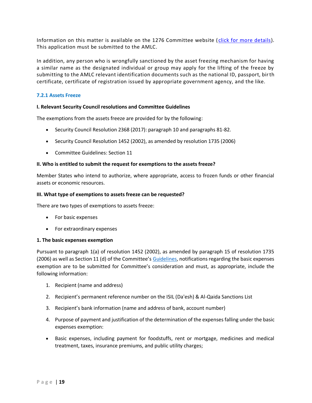Information on this matter is available on the 1276 Committee website ( [click for more details\)](https://www.un.org/securitycouncil/sanctions/1267/aq_sanctions_list). This application must be submitted to the AMLC.

In addition, any person who is wrongfully sanctioned by the asset freezing mechanism for having a similar name as the designated individual or group may apply for the lifting of the freeze by submitting to the AMLC relevant identification documents such as the national ID, passport, birth certificate, certificate of registration issued by appropriate government agency, and the like.

### **7.2.1 Assets Freeze**

### **I. Relevant Security Council resolutions and Committee Guidelines**

The exemptions from the assets freeze are provided for by the following:

- Security Council Resolution 2368 (2017): paragraph 10 and paragraphs 81-82.
- Security Council Resolution 1452 (2002), as amended by resolution 1735 (2006)
- Committee Guidelines: Section 11

### **II. Who is entitled to submit the request for exemptions to the assets freeze?**

Member States who intend to authorize, where appropriate, access to frozen funds or other financial assets or economic resources.

### **III. What type of exemptions to assets freeze can be requested?**

There are two types of exemptions to assets freeze:

- For basic expenses
- For extraordinary expenses

### **1. The basic expenses exemption**

Pursuant to paragraph 1(a) of resolution 1452 (2002), as amended by paragraph 15 of resolution 1735 (2006) as well as Section 11 (d) of the Committee's [Guidelines,](https://www.un.org/securitycouncil/sanctions/1267/committee-guidelines) notifications regarding the basic expenses exemption are to be submitted for Committee's consideration and must, as appropriate, include the following information:

- 1. Recipient (name and address)
- 2. Recipient's permanent reference number on the ISIL (Da'esh) & Al-Qaida Sanctions List
- 3. Recipient's bank information (name and address of bank, account number)
- 4. Purpose of payment and justification of the determination of the expenses falling under the basic expenses exemption:
- Basic expenses, including payment for foodstuffs, rent or mortgage, medicines and medical treatment, taxes, insurance premiums, and public utility charges;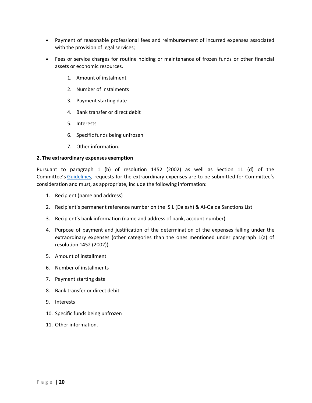- Payment of reasonable professional fees and reimbursement of incurred expenses associated with the provision of legal services;
- Fees or service charges for routine holding or maintenance of frozen funds or other financial assets or economic resources.
	- 1. Amount of instalment
	- 2. Number of instalments
	- 3. Payment starting date
	- 4. Bank transfer or direct debit
	- 5. Interests
	- 6. Specific funds being unfrozen
	- 7. Other information.

### **2. The extraordinary expenses exemption**

Pursuant to paragraph 1 (b) of resolution 1452 (2002) as well as Section 11 (d) of the Committee's [Guidelines](https://www.un.org/securitycouncil/sanctions/1267/committee-guidelines), requests for the extraordinary expenses are to be submitted for Committee's consideration and must, as appropriate, include the following information:

- 1. Recipient (name and address)
- 2. Recipient's permanent reference number on the ISIL (Da'esh) & Al-Qaida Sanctions List
- 3. Recipient's bank information (name and address of bank, account number)
- 4. Purpose of payment and justification of the determination of the expenses falling under the extraordinary expenses (other categories than the ones mentioned under paragraph 1(a) of resolution 1452 (2002)).
- 5. Amount of installment
- 6. Number of installments
- 7. Payment starting date
- 8. Bank transfer or direct debit
- 9. Interests
- 10. Specific funds being unfrozen
- 11. Other information.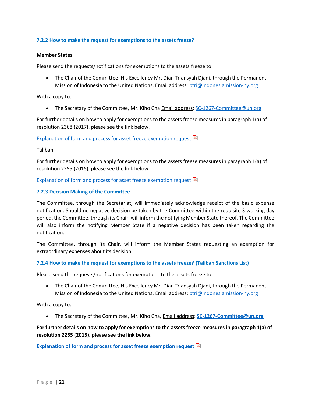### **7.2.2 How to make the request for exemptions to the assets freeze?**

#### **Member States**

Please send the requests/notifications for exemptions to the assets freeze to:

• The Chair of the Committee, His Excellency Mr. Dian Triansyah Djani, through the Permanent Mission of Indonesia to the United Nations, Email address: [ptri@indonesiamission-ny.org](mailto:ptri@indonesiamission-ny.org)

With a copy to:

• The Secretary of the Committee, Mr. Kiho Cha **Email address: [SC-1267-Committee@un.org](mailto:SC-1267-Committee@un.org)** 

For further details on how to apply for exemptions to the assets freeze measures in paragraph 1(a) of resolution 2368 (2017), please see the link below.

### [Explanation of form and process for asset freeze exemption request](https://www.un.org/securitycouncil/sites/www.un.org.securitycouncil/files/template_for_assets_freeze_exemption_request_-_e.pdf)  $\mathbb{\Xi}$

Taliban

For further details on how to apply for exemptions to the assets freeze measures in paragraph 1(a) of resolution 2255 (2015), please see the link below.

Explanation [of form and process for asset freeze exemption request](https://www.un.org/securitycouncil/sites/www.un.org.securitycouncil/files/template_for_1988_assets_freeze_exemption_requests_-_e.pdf)  $\mathbb E$ 

#### **7.2.3 Decision Making of the Committee**

The Committee, through the Secretariat, will immediately acknowledge receipt of the basic expense notification. Should no negative decision be taken by the Committee within the requisite 3 working day period, the Committee, through its Chair, will inform the notifying Member State thereof. The Committee will also inform the notifying Member State if a negative decision has been taken regarding the notification.

The Committee, through its Chair, will inform the Member States requesting an exemption for extraordinary expenses about its decision.

#### **7.2.4 How to make the request for exemptions to the assets freeze? (Taliban Sanctions List)**

Please send the requests/notifications for exemptions to the assets freeze to:

• The Chair of the Committee, His Excellency Mr. Dian Triansyah Djani, through the Permanent Mission of Indonesia to the United Nations, *Email address: [ptri@indonesiamission-ny.org](mailto:ptri@indonesiamission-ny.org)* 

With a copy to:

• The Secretary of the Committee, Mr. Kiho Cha, Email address: **[SC-1267-Committee@un.org](mailto:SC-1267-Committee@un.org)**

### **For further details on how to apply for exemptions to the assets freeze measures in paragraph 1(a) of resolution 2255 (2015), please see the link below.**

**[Explanation of form and process for asset freeze exemption request](https://www.un.org/securitycouncil/sites/www.un.org.securitycouncil/files/template_for_1988_assets_freeze_exemption_requests_-_e.pdf)**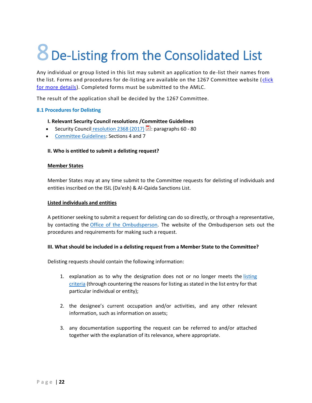# <span id="page-22-0"></span>8 De-Listing from the Consolidated List

Any individual or group listed in this list may submit an application to de-list their names from the list. Forms and procedures for de-listing are available on the 1267 Committee website (click [for more details\)](https://www.un.org/securitycouncil/sanctions/1267/aq_sanctions_list). Completed forms must be submitted to the AMLC.

The result of the application shall be decided by the 1267 Committee.

### **8.1 Procedures for Delisting**

- **I. Relevant Security Council resolutions /Committee Guidelines**
- Security Council [resolution 2368 \(2017\)](https://www.undocs.org/S/RES/2368(2017))  $\mathbb{E}$ : paragraphs 60 80
- [Committee Guidelines:](https://www.un.org/securitycouncil/sanctions/1267/committee-guidelines) Sections 4 and 7

### **II. Who is entitled to submit a delisting request?**

### **Member States**

Member States may at any time submit to the Committee requests for delisting of individuals and entities inscribed on the ISIL (Da'esh) & Al-Qaida Sanctions List.

### **Listed individuals and entities**

A petitioner seeking to submit a request for delisting can do so directly, or through a representative, by contacting the [Office of the Ombudsperson.](https://www.un.org/securitycouncil/ombudsperson) The website of the Ombudsperson sets out the procedures and requirements for making such a request.

### **III. What should be included in a delisting request from a Member State to the Committee?**

Delisting requests should contain the following information:

- 1. explanation as to why the designation does not or no longer meets the listing [criteria](https://www.un.org/securitycouncil/sanctions/1267/aq_sanctions_list/procedures-for-listing) (through countering the reasons for listing as stated in the list entry for that particular individual or entity);
- 2. the designee's current occupation and/or activities, and any other relevant information, such as information on assets;
- 3. any documentation supporting the request can be referred to and/or attached together with the explanation of its relevance, where appropriate.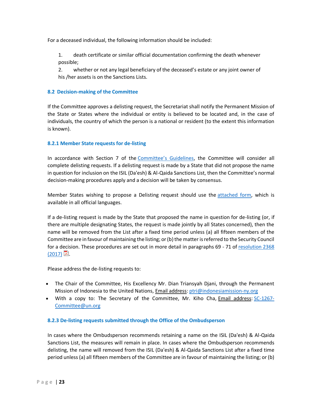For a deceased individual, the following information should be included:

1. death certificate or similar official documentation confirming the death whenever possible;

2. whether or not any legal beneficiary of the deceased's estate or any joint owner of his /her assets is on the Sanctions Lists.

### **8.2 Decision-making of the Committee**

If the Committee approves a delisting request, the Secretariat shall notify the Permanent Mission of the State or States where the individual or entity is believed to be located and, in the case of individuals, the country of which the person is a national or resident (to the extent this information is known).

### **8.2.1 Member State requests for de-listing**

In accordance with Section 7 of the [Committee's Guidelines](https://www.un.org/securitycouncil/sanctions/1267/committee-guidelines), the Committee will consider all complete delisting requests. If a delisting request is made by a State that did not propose the name in question for inclusion on the ISIL (Da'esh) & Al-Qaida Sanctions List, then the Committee's normal decision-making procedures apply and a decision will be taken by consensus.

Member States wishing to propose a Delisting request should use the [attached form,](https://www.un.org/securitycouncil/sites/www.un.org.securitycouncil/files/unprotected_1267_delisting_request_form_02_oct_2018.pdf) which is available in all official languages.

If a de-listing request is made by the State that proposed the name in question for de-listing (or, if there are multiple designating States, the request is made jointly by all States concerned), then the name will be removed from the List after a fixed time period unless (a) all fifteen members of the Committee are in favour of maintaining the listing; or (b) the matter is referred to the Security Council for a decision. These procedures are set out in more detail in paragraphs 69 - 71 of [resolution 2368](https://www.undocs.org/S/RES/2368(2017))   $(2017)$   $\Xi$ .

Please address the de-listing requests to:

- The Chair of the Committee, His Excellency Mr. Dian Triansyah Djani, through the Permanent Mission of Indonesia to the United Nations, Email address: [ptri@indonesiamission-ny.org](mailto:ptri@indonesiamission-ny.org)
- With a copy to: The Secretary of the Committee, Mr. Kiho Cha, Email address: [SC-1267-](mailto:SC-1267-Committee@un.org) [Committee@un.org](mailto:SC-1267-Committee@un.org)

### **8.2.3 De-listing requests submitted through the Office of the Ombudsperson**

In cases where the Ombudsperson recommends retaining a name on the ISIL (Da'esh) & Al-Qaida Sanctions List, the measures will remain in place. In cases where the Ombudsperson recommends delisting, the name will removed from the ISIL (Da'esh) & Al-Qaida Sanctions List after a fixed time period unless (a) all fifteen members of the Committee are in favour of maintaining the listing; or (b)